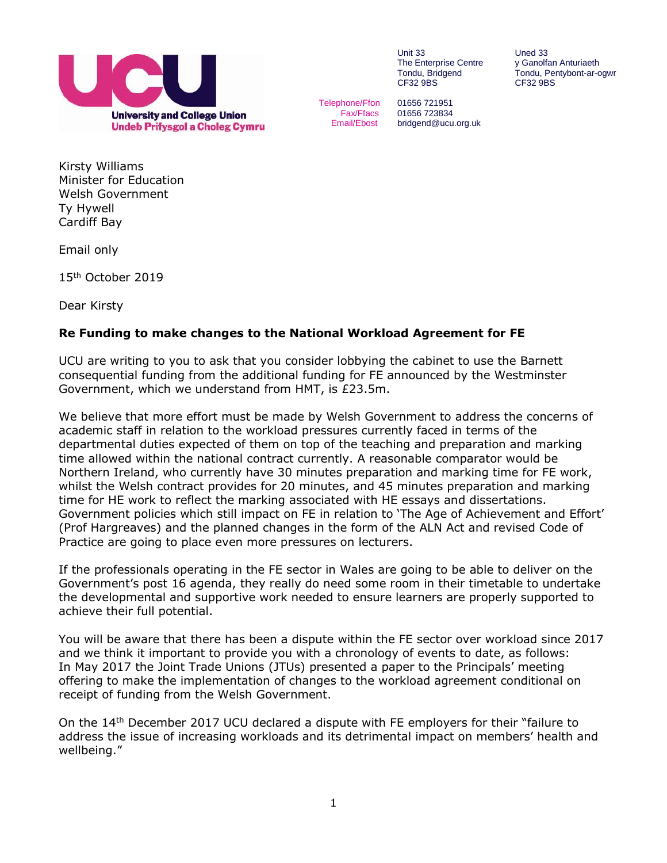

Unit 33 Uned 33<br>The Enterprise Centre y Ganolfan Anturiaeth The Enterprise Centre<br>Tondu, Bridgend CF32 9BS

Tondu, Pentybont-ar-ogwr<br>CF32 9BS

Telephone/Ffon 01656 721951 Fax/Ffacs 01656 723834 Email/Ebost bridgend@ucu.org.uk

Kirsty Williams Minister for Education Welsh Government Ty Hywell Cardiff Bay

Email only

15 th October 2019

Dear Kirsty

## **Re Funding to make changes to the National Workload Agreement for FE**

UCU are writing to you to ask that you consider lobbying the cabinet to use the Barnett consequential funding from the additional funding for FE announced by the Westminster Government, which we understand from HMT, is £23.5m.

We believe that more effort must be made by Welsh Government to address the concerns of academic staff in relation to the workload pressures currently faced in terms of the departmental duties expected of them on top of the teaching and preparation and marking time allowed within the national contract currently. A reasonable comparator would be Northern Ireland, who currently have 30 minutes preparation and marking time for FE work, whilst the Welsh contract provides for 20 minutes, and 45 minutes preparation and marking time for HE work to reflect the marking associated with HE essays and dissertations. Government policies which still impact on FE in relation to 'The Age of Achievement and Effort' (Prof Hargreaves) and the planned changes in the form of the ALN Act and revised Code of Practice are going to place even more pressures on lecturers.

If the professionals operating in the FE sector in Wales are going to be able to deliver on the Government's post 16 agenda, they really do need some room in their timetable to undertake the developmental and supportive work needed to ensure learners are properly supported to achieve their full potential.

You will be aware that there has been a dispute within the FE sector over workload since 2017 and we think it important to provide you with a chronology of events to date, as follows: In May 2017 the Joint Trade Unions (JTUs) presented a paper to the Principals' meeting offering to make the implementation of changes to the workload agreement conditional on receipt of funding from the Welsh Government.

On the 14<sup>th</sup> December 2017 UCU declared a dispute with FE employers for their "failure to address the issue of increasing workloads and its detrimental impact on members' health and wellbeing."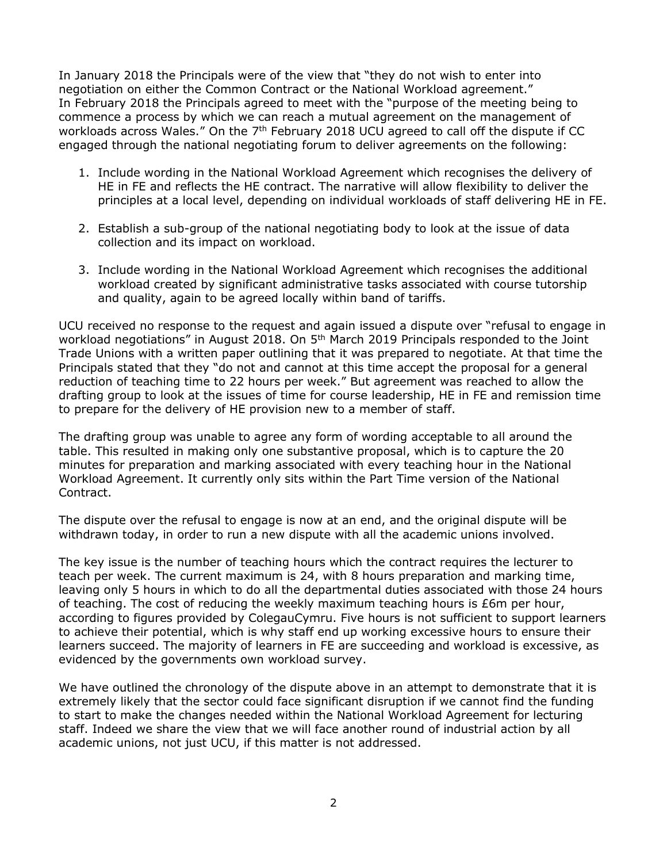In January 2018 the Principals were of the view that "they do not wish to enter into negotiation on either the Common Contract or the National Workload agreement." In February 2018 the Principals agreed to meet with the "purpose of the meeting being to commence a process by which we can reach a mutual agreement on the management of workloads across Wales." On the 7<sup>th</sup> February 2018 UCU agreed to call off the dispute if CC engaged through the national negotiating forum to deliver agreements on the following:

- 1. Include wording in the National Workload Agreement which recognises the delivery of HE in FE and reflects the HE contract. The narrative will allow flexibility to deliver the principles at a local level, depending on individual workloads of staff delivering HE in FE.
- 2. Establish a sub-group of the national negotiating body to look at the issue of data collection and its impact on workload.
- 3. Include wording in the National Workload Agreement which recognises the additional workload created by significant administrative tasks associated with course tutorship and quality, again to be agreed locally within band of tariffs.

UCU received no response to the request and again issued a dispute over "refusal to engage in workload negotiations" in August 2018. On  $5<sup>th</sup>$  March 2019 Principals responded to the Joint Trade Unions with a written paper outlining that it was prepared to negotiate. At that time the Principals stated that they "do not and cannot at this time accept the proposal for a general reduction of teaching time to 22 hours per week." But agreement was reached to allow the drafting group to look at the issues of time for course leadership, HE in FE and remission time to prepare for the delivery of HE provision new to a member of staff.

The drafting group was unable to agree any form of wording acceptable to all around the table. This resulted in making only one substantive proposal, which is to capture the 20 minutes for preparation and marking associated with every teaching hour in the National Workload Agreement. It currently only sits within the Part Time version of the National Contract.

The dispute over the refusal to engage is now at an end, and the original dispute will be withdrawn today, in order to run a new dispute with all the academic unions involved.

The key issue is the number of teaching hours which the contract requires the lecturer to teach per week. The current maximum is 24, with 8 hours preparation and marking time, leaving only 5 hours in which to do all the departmental duties associated with those 24 hours of teaching. The cost of reducing the weekly maximum teaching hours is £6m per hour, according to figures provided by ColegauCymru. Five hours is not sufficient to support learners to achieve their potential, which is why staff end up working excessive hours to ensure their learners succeed. The majority of learners in FE are succeeding and workload is excessive, as evidenced by the governments own workload survey.

We have outlined the chronology of the dispute above in an attempt to demonstrate that it is extremely likely that the sector could face significant disruption if we cannot find the funding to start to make the changes needed within the National Workload Agreement for lecturing staff. Indeed we share the view that we will face another round of industrial action by all academic unions, not just UCU, if this matter is not addressed.